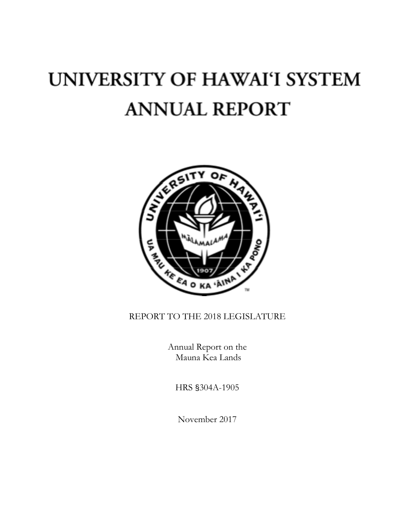# UNIVERSITY OF HAWAI'I SYSTEM **ANNUAL REPORT**



# REPORT TO THE 2018 LEGISLATURE

Annual Report on the Mauna Kea Lands

HRS §304A-1905

November 2017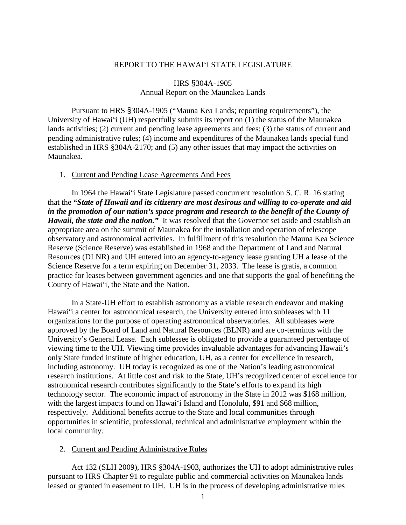# REPORT TO THE HAWAIʻI STATE LEGISLATURE

# HRS §304A-1905 Annual Report on the Maunakea Lands

Pursuant to HRS §304A-1905 ("Mauna Kea Lands; reporting requirements"), the University of Hawaiʻi (UH) respectfully submits its report on (1) the status of the Maunakea lands activities; (2) current and pending lease agreements and fees; (3) the status of current and pending administrative rules; (4) income and expenditures of the Maunakea lands special fund established in HRS §304A-2170; and (5) any other issues that may impact the activities on Maunakea.

#### 1. Current and Pending Lease Agreements And Fees

In 1964 the Hawaiʻi State Legislature passed concurrent resolution S. C. R. 16 stating that the **"***State of Hawaii and its citizenry are most desirous and willing to co-operate and aid in the promotion of our nation's space program and research to the benefit of the County of Hawaii, the state and the nation.*" It was resolved that the Governor set aside and establish an appropriate area on the summit of Maunakea for the installation and operation of telescope observatory and astronomical activities*.* In fulfillment of this resolution the Mauna Kea Science Reserve (Science Reserve) was established in 1968 and the Department of Land and Natural Resources (DLNR) and UH entered into an agency-to-agency lease granting UH a lease of the Science Reserve for a term expiring on December 31, 2033. The lease is gratis, a common practice for leases between government agencies and one that supports the goal of benefiting the County of Hawaiʻi, the State and the Nation.

In a State-UH effort to establish astronomy as a viable research endeavor and making Hawaiʻi a center for astronomical research, the University entered into subleases with 11 organizations for the purpose of operating astronomical observatories. All subleases were approved by the Board of Land and Natural Resources (BLNR) and are co-terminus with the University's General Lease. Each sublessee is obligated to provide a guaranteed percentage of viewing time to the UH. Viewing time provides invaluable advantages for advancing Hawaii's only State funded institute of higher education, UH, as a center for excellence in research, including astronomy. UH today is recognized as one of the Nation's leading astronomical research institutions. At little cost and risk to the State, UH's recognized center of excellence for astronomical research contributes significantly to the State's efforts to expand its high technology sector. The economic impact of astronomy in the State in 2012 was \$168 million, with the largest impacts found on Hawai'i Island and Honolulu, \$91 and \$68 million, respectively. Additional benefits accrue to the State and local communities through opportunities in scientific, professional, technical and administrative employment within the local community.

# 2. Current and Pending Administrative Rules

Act 132 (SLH 2009), HRS §304A-1903, authorizes the UH to adopt administrative rules pursuant to HRS Chapter 91 to regulate public and commercial activities on Maunakea lands leased or granted in easement to UH. UH is in the process of developing administrative rules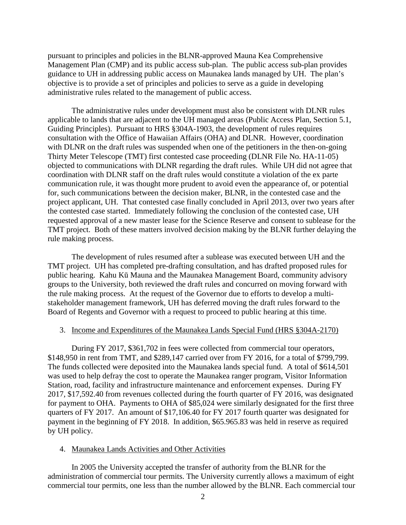pursuant to principles and policies in the BLNR-approved Mauna Kea Comprehensive Management Plan (CMP) and its public access sub-plan. The public access sub-plan provides guidance to UH in addressing public access on Maunakea lands managed by UH. The plan's objective is to provide a set of principles and policies to serve as a guide in developing administrative rules related to the management of public access.

The administrative rules under development must also be consistent with DLNR rules applicable to lands that are adjacent to the UH managed areas (Public Access Plan, Section 5.1, Guiding Principles). Pursuant to HRS §304A-1903, the development of rules requires consultation with the Office of Hawaiian Affairs (OHA) and DLNR. However, coordination with DLNR on the draft rules was suspended when one of the petitioners in the then-on-going Thirty Meter Telescope (TMT) first contested case proceeding (DLNR File No. HA-11-05) objected to communications with DLNR regarding the draft rules. While UH did not agree that coordination with DLNR staff on the draft rules would constitute a violation of the ex parte communication rule, it was thought more prudent to avoid even the appearance of, or potential for, such communications between the decision maker, BLNR, in the contested case and the project applicant, UH. That contested case finally concluded in April 2013, over two years after the contested case started. Immediately following the conclusion of the contested case, UH requested approval of a new master lease for the Science Reserve and consent to sublease for the TMT project. Both of these matters involved decision making by the BLNR further delaying the rule making process.

The development of rules resumed after a sublease was executed between UH and the TMT project. UH has completed pre-drafting consultation, and has drafted proposed rules for public hearing. Kahu Kū Mauna and the Maunakea Management Board, community advisory groups to the University, both reviewed the draft rules and concurred on moving forward with the rule making process. At the request of the Governor due to efforts to develop a multistakeholder management framework, UH has deferred moving the draft rules forward to the Board of Regents and Governor with a request to proceed to public hearing at this time.

# 3. Income and Expenditures of the Maunakea Lands Special Fund (HRS §304A-2170)

During FY 2017, \$361,702 in fees were collected from commercial tour operators, \$148,950 in rent from TMT, and \$289,147 carried over from FY 2016, for a total of \$799,799. The funds collected were deposited into the Maunakea lands special fund. A total of \$614,501 was used to help defray the cost to operate the Maunakea ranger program, Visitor Information Station, road, facility and infrastructure maintenance and enforcement expenses. During FY 2017, \$17,592.40 from revenues collected during the fourth quarter of FY 2016, was designated for payment to OHA. Payments to OHA of \$85,024 were similarly designated for the first three quarters of FY 2017. An amount of \$17,106.40 for FY 2017 fourth quarter was designated for payment in the beginning of FY 2018. In addition, \$65.965.83 was held in reserve as required by UH policy.

# 4. Maunakea Lands Activities and Other Activities

In 2005 the University accepted the transfer of authority from the BLNR for the administration of commercial tour permits. The University currently allows a maximum of eight commercial tour permits, one less than the number allowed by the BLNR. Each commercial tour